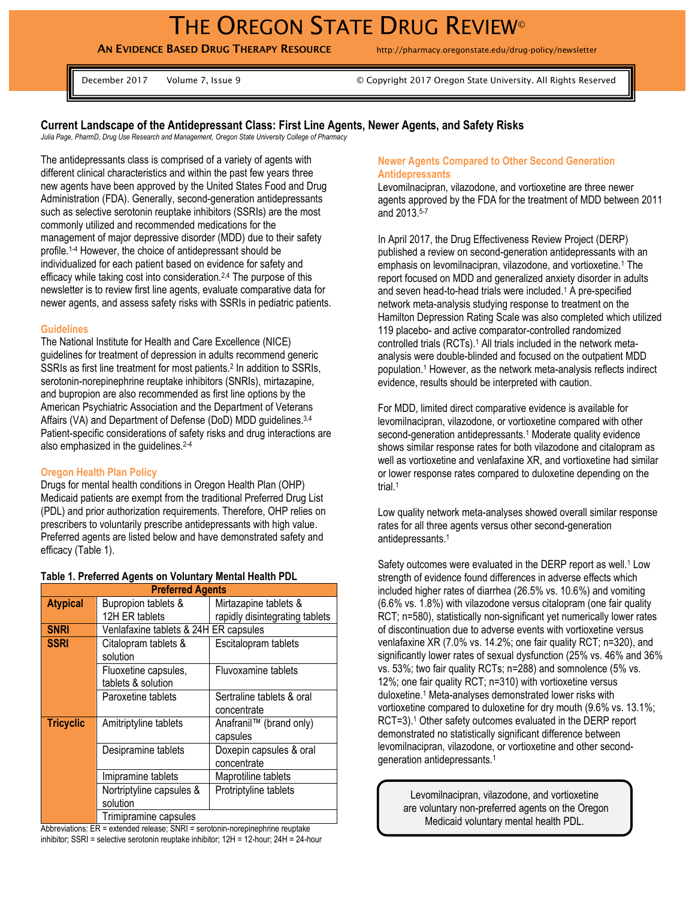# THE OREGON STATE DRUG REVIEW<sup>®</sup>

**AN EVIDENCE BASED DRUG THERAPY RESOURCE** http://pharmacy.oregonstate.edu/drug-policy/newsletter

December 2017 Volume 7, Issue 9 Volume 1, Issue 9 Volume 2017 Oregon State University. All Rights Reserved

## **Current Landscape of the Antidepressant Class: First Line Agents, Newer Agents, and Safety Risks**

*Julia Page, PharmD, Drug Use Research and Management, Oregon State University College of Pharmacy*

The antidepressants class is comprised of a variety of agents with different clinical characteristics and within the past few years three new agents have been approved by the United States Food and Drug Administration (FDA). Generally, second-generation antidepressants such as selective serotonin reuptake inhibitors (SSRIs) are the most commonly utilized and recommended medications for the management of major depressive disorder (MDD) due to their safety profile. 1-4 However, the choice of antidepressant should be individualized for each patient based on evidence for safety and efficacy while taking cost into consideration.2,4 The purpose of this newsletter is to review first line agents, evaluate comparative data for newer agents, and assess safety risks with SSRIs in pediatric patients.

#### **Guidelines**

The National Institute for Health and Care Excellence (NICE) guidelines for treatment of depression in adults recommend generic SSRIs as first line treatment for most patients.<sup>2</sup> In addition to SSRIs, serotonin-norepinephrine reuptake inhibitors (SNRIs), mirtazapine, and bupropion are also recommended as first line options by the American Psychiatric Association and the Department of Veterans Affairs (VA) and Department of Defense (DoD) MDD guidelines.3,4 Patient-specific considerations of safety risks and drug interactions are also emphasized in the guidelines.2-4

#### **Oregon Health Plan Policy**

Drugs for mental health conditions in Oregon Health Plan (OHP) Medicaid patients are exempt from the traditional Preferred Drug List (PDL) and prior authorization requirements. Therefore, OHP relies on prescribers to voluntarily prescribe antidepressants with high value. Preferred agents are listed below and have demonstrated safety and efficacy (Table 1).

| <b>Preferred Agents</b> |                                       |                                |  |  |  |  |  |
|-------------------------|---------------------------------------|--------------------------------|--|--|--|--|--|
| <b>Atypical</b>         | Bupropion tablets &                   | Mirtazapine tablets &          |  |  |  |  |  |
|                         | 12H ER tablets                        | rapidly disintegrating tablets |  |  |  |  |  |
| <b>SNRI</b>             | Venlafaxine tablets & 24H ER capsules |                                |  |  |  |  |  |
| <b>SSRI</b>             | Citalopram tablets &                  | Escitalopram tablets           |  |  |  |  |  |
|                         | solution                              |                                |  |  |  |  |  |
|                         | Fluoxetine capsules,                  | Fluvoxamine tablets            |  |  |  |  |  |
|                         | tablets & solution                    |                                |  |  |  |  |  |
|                         | Paroxetine tablets                    | Sertraline tablets & oral      |  |  |  |  |  |
|                         |                                       | concentrate                    |  |  |  |  |  |
| <b>Tricyclic</b>        | Amitriptyline tablets                 | Anafranil™ (brand only)        |  |  |  |  |  |
|                         |                                       | capsules                       |  |  |  |  |  |
|                         | Desipramine tablets                   | Doxepin capsules & oral        |  |  |  |  |  |
|                         |                                       | concentrate                    |  |  |  |  |  |
|                         | Imipramine tablets                    | Maprotiline tablets            |  |  |  |  |  |
|                         | Nortriptyline capsules &              | Protriptyline tablets          |  |  |  |  |  |
|                         | solution                              |                                |  |  |  |  |  |
|                         | Trimipramine capsules                 |                                |  |  |  |  |  |

#### **Table 1. Preferred Agents on Voluntary Mental Health PDL**

Abbreviations: ER = extended release; SNRI = serotonin-norepinephrine reuptake inhibitor; SSRI = selective serotonin reuptake inhibitor; 12H = 12-hour; 24H = 24-hour

## **Newer Agents Compared to Other Second Generation Antidepressants**

Levomilnacipran, vilazodone, and vortioxetine are three newer agents approved by the FDA for the treatment of MDD between 2011 and 2013.5-7

In April 2017, the Drug Effectiveness Review Project (DERP) published a review on second-generation antidepressants with an emphasis on levomilnacipran, vilazodone, and vortioxetine.<sup>1</sup> The report focused on MDD and generalized anxiety disorder in adults and seven head-to-head trials were included.<sup>1</sup> A pre-specified network meta-analysis studying response to treatment on the Hamilton Depression Rating Scale was also completed which utilized 119 placebo- and active comparator-controlled randomized controlled trials (RCTs).<sup>1</sup> All trials included in the network metaanalysis were double-blinded and focused on the outpatient MDD population. <sup>1</sup> However, as the network meta-analysis reflects indirect evidence, results should be interpreted with caution.

For MDD, limited direct comparative evidence is available for levomilnacipran, vilazodone, or vortioxetine compared with other second-generation antidepressants.<sup>1</sup> Moderate quality evidence shows similar response rates for both vilazodone and citalopram as well as vortioxetine and venlafaxine XR, and vortioxetine had similar or lower response rates compared to duloxetine depending on the trial.<sup>1</sup>

Low quality network meta-analyses showed overall similar response rates for all three agents versus other second-generation antidepressants.<sup>1</sup>

Safety outcomes were evaluated in the DERP report as well.<sup>1</sup> Low strength of evidence found differences in adverse effects which included higher rates of diarrhea (26.5% vs. 10.6%) and vomiting (6.6% vs. 1.8%) with vilazodone versus citalopram (one fair quality RCT; n=580), statistically non-significant yet numerically lower rates of discontinuation due to adverse events with vortioxetine versus venlafaxine XR (7.0% vs. 14.2%; one fair quality RCT; n=320), and significantly lower rates of sexual dysfunction (25% vs. 46% and 36% vs. 53%; two fair quality RCTs; n=288) and somnolence (5% vs. 12%; one fair quality RCT; n=310) with vortioxetine versus duloxetine.<sup>1</sup> Meta-analyses demonstrated lower risks with vortioxetine compared to duloxetine for dry mouth (9.6% vs. 13.1%; RCT=3).<sup>1</sup> Other safety outcomes evaluated in the DERP report demonstrated no statistically significant difference between levomilnacipran, vilazodone, or vortioxetine and other secondgeneration antidepressants.<sup>1</sup>

Levomilnacipran, vilazodone, and vortioxetine are voluntary non-preferred agents on the Oregon Medicaid voluntary mental health PDL.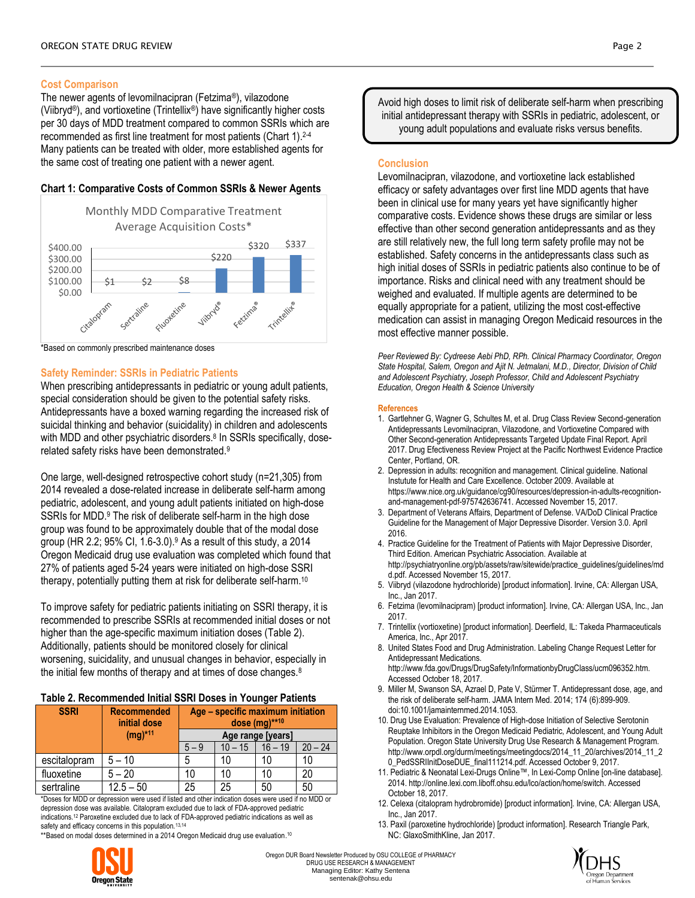## **Cost Comparison**

The newer agents of levomilnacipran (Fetzima®), vilazodone (Viibryd®), and vortioxetine (Trintellix®) have significantly higher costs per 30 days of MDD treatment compared to common SSRIs which are recommended as first line treatment for most patients (Chart 1). 2-4 Many patients can be treated with older, more established agents for the same cost of treating one patient with a newer agent.

## **Chart 1: Comparative Costs of Common SSRIs & Newer Agents**



\*Based on commonly prescribed maintenance doses

## **Safety Reminder: SSRIs in Pediatric Patients**

When prescribing antidepressants in pediatric or young adult patients, special consideration should be given to the potential safety risks. Antidepressants have a boxed warning regarding the increased risk of suicidal thinking and behavior (suicidality) in children and adolescents with MDD and other psychiatric disorders.<sup>8</sup> In SSRIs specifically, doserelated safety risks have been demonstrated. 9

One large, well-designed retrospective cohort study (n=21,305) from 2014 revealed a dose-related increase in deliberate self-harm among pediatric, adolescent, and young adult patients initiated on high-dose SSRIs for MDD.<sup>9</sup> The risk of deliberate self-harm in the high dose group was found to be approximately double that of the modal dose group (HR 2.2; 95% CI, 1.6-3.0).<sup>9</sup> As a result of this study, a 2014 Oregon Medicaid drug use evaluation was completed which found that 27% of patients aged 5-24 years were initiated on high-dose SSRI therapy, potentially putting them at risk for deliberate self-harm. 10

To improve safety for pediatric patients initiating on SSRI therapy, it is recommended to prescribe SSRIs at recommended initial doses or not higher than the age-specific maximum initiation doses (Table 2). Additionally, patients should be monitored closely for clinical worsening, suicidality, and unusual changes in behavior, especially in the initial few months of therapy and at times of dose changes.<sup>8</sup>

## **Table 2. Recommended Initial SSRI Doses in Younger Patients**

| <b>SSRI</b>  | <b>Recommended</b><br>initial dose<br>$(mg)^{*11}$ | Age - specific maximum initiation<br>dose $(mg)$ **10 |         |         |           |
|--------------|----------------------------------------------------|-------------------------------------------------------|---------|---------|-----------|
|              |                                                    | Age range [years]                                     |         |         |           |
|              |                                                    | $5 - 9$                                               | 10 – 15 | 16 – 19 | $20 - 24$ |
| escitalopram | $5 - 10$                                           | 5                                                     | 10      | 10      | 10        |
| fluoxetine   | $5 - 20$                                           | 10                                                    | 10      | 10      | 20        |
| sertraline   | $12.5 - 50$                                        | 25                                                    | 25      | 50      | 50        |

\*Doses for MDD or depression were used if listed and other indication doses were used if no MDD or depression dose was available. Citalopram excluded due to lack of FDA-approved pediatric indications.<sup>12</sup> Paroxetine excluded due to lack of FDA-approved pediatric indications as well as safety and efficacy concerns in this population.<sup>13,14</sup>

\*\*Based on modal doses determined in a 2014 Oregon Medicaid drug use evaluation. 10

Avoid high doses to limit risk of deliberate self-harm when prescribing initial antidepressant therapy with SSRIs in pediatric, adolescent, or young adult populations and evaluate risks versus benefits.

## **Conclusion**

Levomilnacipran, vilazodone, and vortioxetine lack established efficacy or safety advantages over first line MDD agents that have been in clinical use for many years yet have significantly higher comparative costs. Evidence shows these drugs are similar or less effective than other second generation antidepressants and as they are still relatively new, the full long term safety profile may not be established. Safety concerns in the antidepressants class such as high initial doses of SSRIs in pediatric patients also continue to be of importance. Risks and clinical need with any treatment should be weighed and evaluated. If multiple agents are determined to be equally appropriate for a patient, utilizing the most cost-effective medication can assist in managing Oregon Medicaid resources in the most effective manner possible.

*Peer Reviewed By: Cydreese Aebi PhD, RPh. Clinical Pharmacy Coordinator, Oregon State Hospital, Salem, Oregon and Ajit N. Jetmalani, M.D., Director, Division of Child and Adolescent Psychiatry, Joseph Professor, Child and Adolescent Psychiatry Education, Oregon Health & Science University*

#### **References**

- 1. Gartlehner G, Wagner G, Schultes M, et al. Drug Class Review Second-generation Antidepressants Levomilnacipran, Vilazodone, and Vortioxetine Compared with Other Second-generation Antidepressants Targeted Update Final Report. April 2017. Drug Efectiveness Review Project at the Pacific Northwest Evidence Practice Center, Portland, OR.
- 2. Depression in adults: recognition and management. Clinical guideline. National Instutute for Health and Care Excellence. October 2009. Available at https://www.nice.org.uk/guidance/cg90/resources/depression-in-adults-recognitionand-management-pdf-975742636741. Accessed November 15, 2017.
- 3. Department of Veterans Affairs, Department of Defense. VA/DoD Clinical Practice Guideline for the Management of Major Depressive Disorder. Version 3.0. April 2016.
- 4. Practice Guideline for the Treatment of Patients with Major Depressive Disorder, Third Edition. American Psychiatric Association. Available at http://psychiatryonline.org/pb/assets/raw/sitewide/practice\_guidelines/guidelines/md d.pdf. Accessed November 15, 2017.
- 5. Viibryd (vilazodone hydrochloride) [product information]. Irvine, CA: Allergan USA, Inc., Jan 2017.
- 6. Fetzima (levomilnacipram) [product information]. Irvine, CA: Allergan USA, Inc., Jan 2017.
- 7. Trintellix (vortioxetine) [product information]. Deerfield, IL: Takeda Pharmaceuticals America, Inc., Apr 2017.
- 8. United States Food and Drug Administration. Labeling Change Request Letter for Antidepressant Medications. http://www.fda.gov/Drugs/DrugSafety/InformationbyDrugClass/ucm096352.htm. Accessed October 18, 2017.
- 9. Miller M, Swanson SA, Azrael D, Pate V, Stürmer T. Antidepressant dose, age, and the risk of deliberate self-harm. JAMA Intern Med. 2014; 174 (6):899-909. doi:10.1001/jamainternmed.2014.1053.
- 10. Drug Use Evaluation: Prevalence of High-dose Initiation of Selective Serotonin Reuptake Inhibitors in the Oregon Medicaid Pediatric, Adolescent, and Young Adult Population. Oregon State University Drug Use Research & Management Program. http://www.orpdl.org/durm/meetings/meetingdocs/2014\_11\_20/archives/2014\_11\_2 0\_PedSSRIInitDoseDUE\_final111214.pdf. Accessed October 9, 2017.
- 11. Pediatric & Neonatal Lexi-Drugs Online™, In Lexi-Comp Online [on-line database]. 2014. http://online.lexi.com.liboff.ohsu.edu/lco/action/home/switch. Accessed October 18, 2017.
- 12. Celexa (citalopram hydrobromide) [product information]. Irvine, CA: Allergan USA, Inc., Jan 2017.
- 13. Paxil (paroxetine hydrochloride) [product information]. Research Triangle Park, NC: GlaxoSmithKline, Jan 2017.